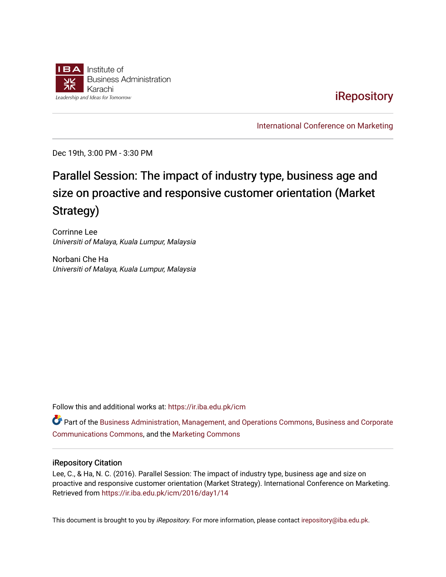

# **iRepository**

[International Conference on Marketing](https://ir.iba.edu.pk/icm) 

Dec 19th, 3:00 PM - 3:30 PM

# Parallel Session: The impact of industry type, business age and size on proactive and responsive customer orientation (Market Strategy)

Corrinne Lee Universiti of Malaya, Kuala Lumpur, Malaysia

Norbani Che Ha Universiti of Malaya, Kuala Lumpur, Malaysia

Follow this and additional works at: [https://ir.iba.edu.pk/icm](https://ir.iba.edu.pk/icm?utm_source=ir.iba.edu.pk%2Ficm%2F2016%2Fday1%2F14&utm_medium=PDF&utm_campaign=PDFCoverPages) 

Part of the [Business Administration, Management, and Operations Commons](http://network.bepress.com/hgg/discipline/623?utm_source=ir.iba.edu.pk%2Ficm%2F2016%2Fday1%2F14&utm_medium=PDF&utm_campaign=PDFCoverPages), [Business and Corporate](http://network.bepress.com/hgg/discipline/627?utm_source=ir.iba.edu.pk%2Ficm%2F2016%2Fday1%2F14&utm_medium=PDF&utm_campaign=PDFCoverPages)  [Communications Commons,](http://network.bepress.com/hgg/discipline/627?utm_source=ir.iba.edu.pk%2Ficm%2F2016%2Fday1%2F14&utm_medium=PDF&utm_campaign=PDFCoverPages) and the [Marketing Commons](http://network.bepress.com/hgg/discipline/638?utm_source=ir.iba.edu.pk%2Ficm%2F2016%2Fday1%2F14&utm_medium=PDF&utm_campaign=PDFCoverPages) 

#### iRepository Citation

Lee, C., & Ha, N. C. (2016). Parallel Session: The impact of industry type, business age and size on proactive and responsive customer orientation (Market Strategy). International Conference on Marketing. Retrieved from [https://ir.iba.edu.pk/icm/2016/day1/14](https://ir.iba.edu.pk/icm/2016/day1/14?utm_source=ir.iba.edu.pk%2Ficm%2F2016%2Fday1%2F14&utm_medium=PDF&utm_campaign=PDFCoverPages) 

This document is brought to you by iRepository. For more information, please contact [irepository@iba.edu.pk](mailto:irepository@iba.edu.pk).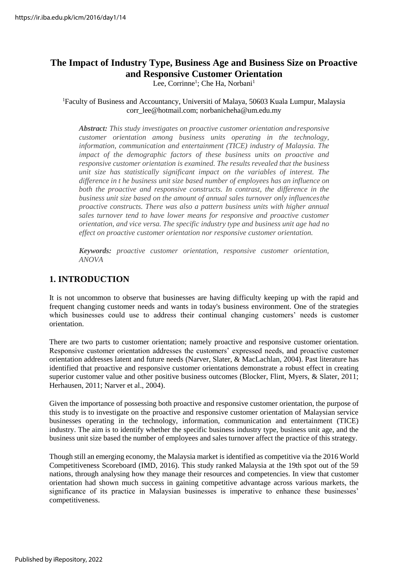# **The Impact of Industry Type, Business Age and Business Size on Proactive and Responsive Customer Orientation**

Lee, Corrinne<sup>1</sup>; Che Ha, Norbani<sup>1</sup>

<sup>1</sup>Faculty of Business and Accountancy, Universiti of Malaya, 50603 Kuala Lumpur, Malaysia corr\_lee@hotmail.com; [norbanicheha@um.edu.my](mailto:norbanicheha@um.edu.my)

*Abstract: This study investigates on proactive customer orientation andresponsive customer orientation among business units operating in the technology, information, communication and entertainment (TICE) industry of Malaysia. The impact of the demographic factors of these business units on proactive and responsive customer orientation is examined. The results revealed that the business unit size has statistically significant impact on the variables of interest. The difference in t he business unit size based number of employees has an influence on*  both the proactive and responsive constructs. In contrast, the difference in the *business unit size based on the amount of annual sales turnover only influencesthe proactive constructs. There was also a pattern business units with higher annual sales turnover tend to have lower means for responsive and proactive customer orientation, and vice versa. The specific industry type and business unit age had no effect on proactive customer orientation nor responsive customer orientation.*

*Keywords: proactive customer orientation, responsive customer orientation, ANOVA*

# **1. INTRODUCTION**

It is not uncommon to observe that businesses are having difficulty keeping up with the rapid and frequent changing customer needs and wants in today's business environment. One of the strategies which businesses could use to address their continual changing customers' needs is customer orientation.

There are two parts to customer orientation; namely proactive and responsive customer orientation. Responsive customer orientation addresses the customers' expressed needs, and proactive customer orientation addresses latent and future needs (Narver, Slater, & MacLachlan, 2004). Past literature has identified that proactive and responsive customer orientations demonstrate a robust effect in creating superior customer value and other positive business outcomes (Blocker, Flint, Myers, & Slater, 2011; Herhausen, 2011; Narver et al., 2004).

Given the importance of possessing both proactive and responsive customer orientation, the purpose of this study is to investigate on the proactive and responsive customer orientation of Malaysian service businesses operating in the technology, information, communication and entertainment (TICE) industry. The aim is to identify whether the specific business industry type, business unit age, and the business unit size based the number of employees and sales turnover affect the practice of this strategy.

Though still an emerging economy, the Malaysia market is identified as competitive via the 2016 World Competitiveness Scoreboard (IMD, 2016). This study ranked Malaysia at the 19th spot out of the 59 nations, through analysing how they manage their resources and competencies. In view that customer orientation had shown much success in gaining competitive advantage across various markets, the significance of its practice in Malaysian businesses is imperative to enhance these businesses' competitiveness.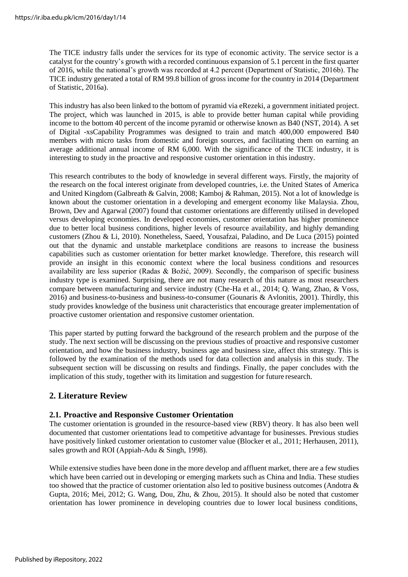The TICE industry falls under the services for its type of economic activity. The service sector is a catalyst for the country's growth with a recorded continuous expansion of 5.1 percent in the first quarter of 2016, while the national's growth was recorded at 4.2 percent (Department of Statistic, 2016b). The TICE industry generated a total of RM 99.8 billion of gross income for the country in 2014 (Department of Statistic, 2016a).

This industry has also been linked to the bottom of pyramid via eRezeki, a government initiated project. The project, which was launched in 2015, is able to provide better human capital while providing income to the bottom 40 percent of the income pyramid or otherwise known as B40 (NST, 2014). A set of Digital -xsCapability Programmes was designed to train and match 400,000 empowered B40 members with micro tasks from domestic and foreign sources, and facilitating them on earning an average additional annual income of RM 6,000. With the significance of the TICE industry, it is interesting to study in the proactive and responsive customer orientation in thisindustry.

This research contributes to the body of knowledge in several different ways. Firstly, the majority of the research on the focal interest originate from developed countries, i.e. the United States of America and United Kingdom (Galbreath & Galvin, 2008; Kamboj & Rahman, 2015). Not a lot of knowledge is known about the customer orientation in a developing and emergent economy like Malaysia. Zhou, Brown, Dev and Agarwal (2007) found that customer orientations are differently utilised in developed versus developing economies. In developed economies, customer orientation has higher prominence due to better local business conditions, higher levels of resource availability, and highly demanding customers (Zhou & Li, 2010). Nonetheless, Saeed, Yousafzai, Paladino, and De Luca (2015) pointed out that the dynamic and unstable marketplace conditions are reasons to increase the business capabilities such as customer orientation for better market knowledge. Therefore, this research will provide an insight in this economic context where the local business conditions and resources availability are less superior (Radas & Božić, 2009). Secondly, the comparison of specific business industry type is examined. Surprising, there are not many research of this nature as most researchers compare between manufacturing and service industry (Che-Ha et al., 2014; Q. Wang, Zhao, & Voss, 2016) and business-to-business and business-to-consumer (Gounaris & Avlonitis, 2001). Thirdly, this study provides knowledge of the business unit characteristics that encourage greater implementation of proactive customer orientation and responsive customer orientation.

This paper started by putting forward the background of the research problem and the purpose of the study. The next section will be discussing on the previous studies of proactive and responsive customer orientation, and how the business industry, business age and business size, affect this strategy. This is followed by the examination of the methods used for data collection and analysis in this study. The subsequent section will be discussing on results and findings. Finally, the paper concludes with the implication of this study, together with its limitation and suggestion for future research.

# **2. Literature Review**

#### **2.1. Proactive and Responsive Customer Orientation**

The customer orientation is grounded in the resource-based view (RBV) theory. It has also been well documented that customer orientations lead to competitive advantage for businesses. Previous studies have positively linked customer orientation to customer value (Blocker et al., 2011; Herhausen, 2011), sales growth and ROI (Appiah-Adu & Singh, 1998).

While extensive studies have been done in the more develop and affluent market, there are a few studies which have been carried out in developing or emerging markets such as China and India. These studies too showed that the practice of customer orientation also led to positive business outcomes (Andotra & Gupta, 2016; Mei, 2012; G. Wang, Dou, Zhu, & Zhou, 2015). It should also be noted that customer orientation has lower prominence in developing countries due to lower local business conditions,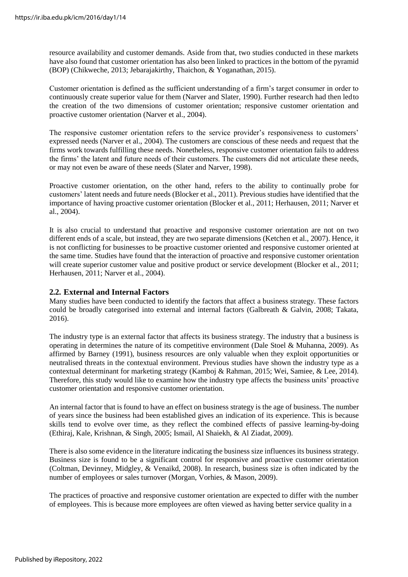resource availability and customer demands. Aside from that, two studies conducted in these markets have also found that customer orientation has also been linked to practices in the bottom of the pyramid (BOP) (Chikweche, 2013; Jebarajakirthy, Thaichon, & Yoganathan, 2015).

Customer orientation is defined as the sufficient understanding of a firm's target consumer in order to continuously create superior value for them (Narver and Slater, 1990). Further research had then ledto the creation of the two dimensions of customer orientation; responsive customer orientation and proactive customer orientation (Narver et al., 2004).

The responsive customer orientation refers to the service provider's responsiveness to customers' expressed needs (Narver et al., 2004). The customers are conscious of these needs and request that the firms work towards fulfilling these needs. Nonetheless, responsive customer orientation fails to address the firms' the latent and future needs of their customers. The customers did not articulate these needs, or may not even be aware of these needs (Slater and Narver, 1998).

Proactive customer orientation, on the other hand, refers to the ability to continually probe for customers' latent needs and future needs (Blocker et al., 2011). Previous studies have identified that the importance of having proactive customer orientation (Blocker et al., 2011; Herhausen, 2011; Narver et al., 2004).

It is also crucial to understand that proactive and responsive customer orientation are not on two different ends of a scale, but instead, they are two separate dimensions (Ketchen et al., 2007). Hence, it is not conflicting for businesses to be proactive customer oriented and responsive customer oriented at the same time. Studies have found that the interaction of proactive and responsive customer orientation will create superior customer value and positive product or service development (Blocker et al., 2011; Herhausen, 2011; Narver et al., 2004).

### **2.2. External and Internal Factors**

Many studies have been conducted to identify the factors that affect a business strategy. These factors could be broadly categorised into external and internal factors (Galbreath & Galvin, 2008; Takata, 2016).

The industry type is an external factor that affects its business strategy. The industry that a business is operating in determines the nature of its competitive environment (Dale Stoel & Muhanna, 2009). As affirmed by Barney (1991), business resources are only valuable when they exploit opportunities or neutralised threats in the contextual environment. Previous studies have shown the industry type as a contextual determinant for marketing strategy (Kamboj & Rahman, 2015; Wei, Samiee, & Lee, 2014). Therefore, this study would like to examine how the industry type affects the business units' proactive customer orientation and responsive customer orientation.

An internal factor that is found to have an effect on business strategy is the age of business. The number of years since the business had been established gives an indication of its experience. This is because skills tend to evolve over time, as they reflect the combined effects of passive learning-by-doing (Ethiraj, Kale, Krishnan, & Singh, 2005; Ismail, Al Shaiekh, & Al Ziadat, 2009).

There is also some evidence in the literature indicating the business size influences its business strategy. Business size is found to be a significant control for responsive and proactive customer orientation (Coltman, Devinney, Midgley, & Venaikd, 2008). In research, business size is often indicated by the number of employees or sales turnover (Morgan, Vorhies, & Mason, 2009).

The practices of proactive and responsive customer orientation are expected to differ with the number of employees. This is because more employees are often viewed as having better service quality in a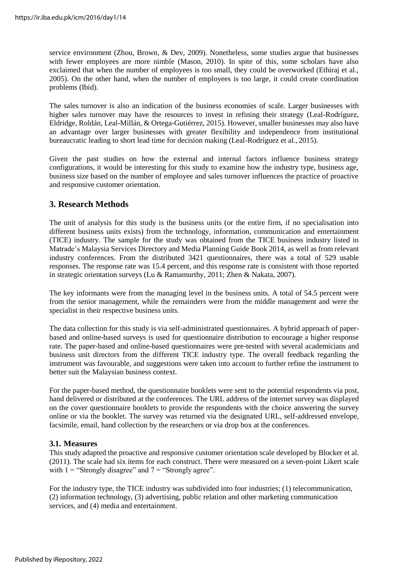service environment (Zhou, Brown, & Dev, 2009). Nonetheless, some studies argue that businesses with fewer employees are more nimble (Mason, 2010). In spite of this, some scholars have also exclaimed that when the number of employees is too small, they could be overworked (Ethiraj et al., 2005). On the other hand, when the number of employees is too large, it could create coordination problems (Ibid).

The sales turnover is also an indication of the business economies of scale. Larger businesses with higher sales turnover may have the resources to invest in refining their strategy (Leal-Rodríguez, Eldridge, Roldán, Leal-Millán, & Ortega-Gutiérrez, 2015). However, smaller businesses may also have an advantage over larger businesses with greater flexibility and independence from institutional bureaucratic leading to short lead time for decision making (Leal-Rodríguez et al., 2015).

Given the past studies on how the external and internal factors influence business strategy configurations, it would be interesting for this study to examine how the industry type, business age, business size based on the number of employee and sales turnover influences the practice of proactive and responsive customer orientation.

# **3. Research Methods**

The unit of analysis for this study is the business units (or the entire firm, if no specialisation into different business units exists) from the technology, information, communication and entertainment (TICE) industry. The sample for the study was obtained from the TICE business industry listed in Matrade's Malaysia Services Directory and Media Planning Guide Book 2014, as well as from relevant industry conferences. From the distributed 3421 questionnaires, there was a total of 529 usable responses. The response rate was 15.4 percent, and this response rate is consistent with those reported in strategic orientation surveys (Lu & Ramamurthy, 2011; Zhen & Nakata, 2007).

The key informants were from the managing level in the business units. A total of 54.5 percent were from the senior management, while the remainders were from the middle management and were the specialist in their respective business units.

The data collection for this study is via self-administrated questionnaires. A hybrid approach of paperbased and online-based surveys is used for questionnaire distribution to encourage a higher response rate. The paper-based and online-based questionnaires were pre-tested with several academicians and business unit directors from the different TICE industry type. The overall feedback regarding the instrument was favourable, and suggestions were taken into account to further refine the instrument to better suit the Malaysian business context.

For the paper-based method, the questionnaire booklets were sent to the potential respondents via post, hand delivered or distributed at the conferences. The URL address of the internet survey was displayed on the cover questionnaire booklets to provide the respondents with the choice answering the survey online or via the booklet. The survey was returned via the designated URL, self-addressed envelope, facsimile, email, hand collection by the researchers or via drop box at the conferences.

#### **3.1. Measures**

This study adapted the proactive and responsive customer orientation scale developed by Blocker et al. (2011). The scale had six items for each construct. There were measured on a seven-point Likert scale with  $1 =$  "Strongly disagree" and  $7 =$  "Strongly agree".

For the industry type, the TICE industry was subdivided into four industries; (1) telecommunication, (2) information technology, (3) advertising, public relation and other marketing communication services, and (4) media and entertainment.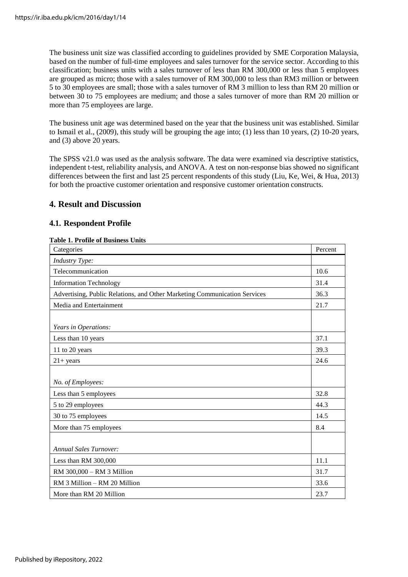The business unit size was classified according to guidelines provided by SME Corporation Malaysia, based on the number of full-time employees and sales turnover for the service sector. According to this classification; business units with a sales turnover of less than RM 300,000 or less than 5 employees are grouped as micro; those with a sales turnover of RM 300,000 to less than RM3 million or between 5 to 30 employees are small; those with a sales turnover of RM 3 million to less than RM 20 million or between 30 to 75 employees are medium; and those a sales turnover of more than RM 20 million or more than 75 employees are large.

The business unit age was determined based on the year that the business unit was established. Similar to Ismail et al., (2009), this study will be grouping the age into; (1) less than 10 years, (2) 10-20 years, and (3) above 20 years.

The SPSS v21.0 was used as the analysis software. The data were examined via descriptive statistics, independent t-test, reliability analysis, and ANOVA. A test on non-response bias showed no significant differences between the first and last 25 percent respondents of this study (Liu, Ke, Wei, & Hua, 2013) for both the proactive customer orientation and responsive customer orientation constructs.

# **4. Result and Discussion**

#### **4.1. Respondent Profile**

#### **Table 1. Profile of Business Units**

| Categories                                                                | Percent |
|---------------------------------------------------------------------------|---------|
| Industry Type:                                                            |         |
| Telecommunication                                                         | 10.6    |
| <b>Information Technology</b>                                             | 31.4    |
| Advertising, Public Relations, and Other Marketing Communication Services | 36.3    |
| Media and Entertainment                                                   | 21.7    |
|                                                                           |         |
| Years in Operations:                                                      |         |
| Less than 10 years                                                        | 37.1    |
| 11 to 20 years                                                            | 39.3    |
| $21 + years$                                                              | 24.6    |
|                                                                           |         |
| No. of Employees:                                                         |         |
| Less than 5 employees                                                     | 32.8    |
| 5 to 29 employees                                                         | 44.3    |
| 30 to 75 employees                                                        | 14.5    |
| More than 75 employees                                                    | 8.4     |
|                                                                           |         |
| <b>Annual Sales Turnover:</b>                                             |         |
| Less than RM 300,000                                                      | 11.1    |
| RM 300,000 - RM 3 Million                                                 | 31.7    |
| RM 3 Million - RM 20 Million                                              | 33.6    |
| More than RM 20 Million                                                   | 23.7    |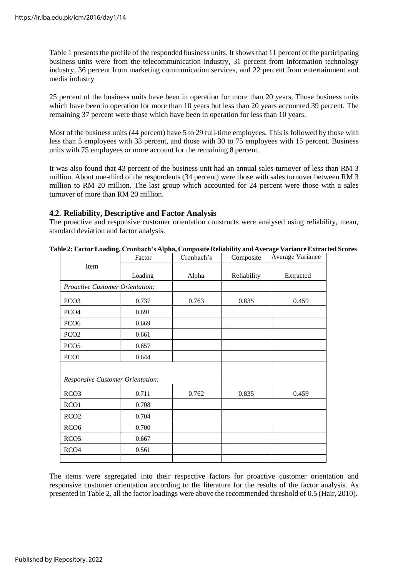Table 1 presents the profile of the responded business units. It shows that 11 percent of the participating business units were from the telecommunication industry, 31 percent from information technology industry, 36 percent from marketing communication services, and 22 percent from entertainment and media industry

25 percent of the business units have been in operation for more than 20 years. Those business units which have been in operation for more than 10 years but less than 20 years accounted 39 percent. The remaining 37 percent were those which have been in operation for less than 10 years.

Most of the business units (44 percent) have 5 to 29 full-time employees. This is followed by those with less than 5 employees with 33 percent, and those with 30 to 75 employees with 15 percent. Business units with 75 employees or more account for the remaining 8 percent.

It was also found that 43 percent of the business unit had an annual sales turnover of less than RM 3 million. About one-third of the respondents (34 percent) were those with sales turnover between RM 3 million to RM 20 million. The last group which accounted for 24 percent were those with a sales turnover of more than RM 20 million.

#### **4.2. Reliability, Descriptive and Factor Analysis**

The proactive and responsive customer orientation constructs were analysed using reliability, mean, standard deviation and factor analysis.

|                                         | Factor  | Cronbach's | Composite   | Average Variance |
|-----------------------------------------|---------|------------|-------------|------------------|
| Item                                    |         |            |             |                  |
|                                         | Loading | Alpha      | Reliability | Extracted        |
| <b>Proactive Customer Orientation:</b>  |         |            |             |                  |
| PCO <sub>3</sub>                        | 0.737   | 0.763      | 0.835       | 0.459            |
| PCO <sub>4</sub>                        | 0.691   |            |             |                  |
| PCO <sub>6</sub>                        | 0.669   |            |             |                  |
| PCO <sub>2</sub>                        | 0.661   |            |             |                  |
| PCO <sub>5</sub>                        | 0.657   |            |             |                  |
| PCO1                                    | 0.644   |            |             |                  |
|                                         |         |            |             |                  |
| <b>Responsive Customer Orientation:</b> |         |            |             |                  |
| RCO <sub>3</sub>                        | 0.711   | 0.762      | 0.835       | 0.459            |
| RCO1                                    | 0.708   |            |             |                  |
| RCO <sub>2</sub>                        | 0.704   |            |             |                  |
| RCO <sub>6</sub>                        | 0.700   |            |             |                  |
| RCO <sub>5</sub>                        | 0.667   |            |             |                  |
| RCO <sub>4</sub>                        | 0.561   |            |             |                  |
|                                         |         |            |             |                  |

**Table 2: Factor Loading, Cronbach's Alpha, Composite Reliability and Average Variance Extracted Scores**

The items were segregated into their respective factors for proactive customer orientation and responsive customer orientation according to the literature for the results of the factor analysis. As presented in Table 2, all the factor loadings were above the recommended threshold of 0.5 (Hair, 2010).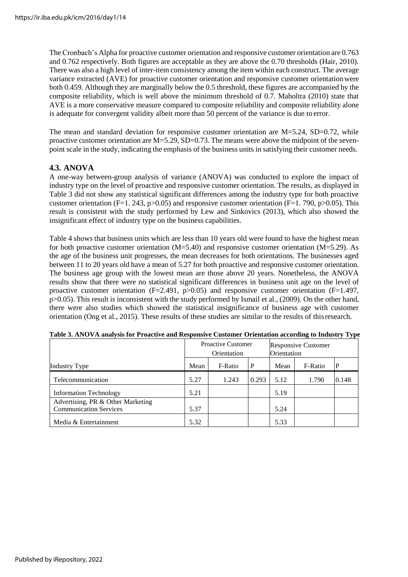The Cronbach's Alpha for proactive customer orientation and responsive customer orientation are 0.763 and 0.762 respectively. Both figures are acceptable as they are above the 0.70 thresholds (Hair, 2010). There was also a high level of inter-item consistency among the item within each construct. The average variance extracted (AVE) for proactive customer orientation and responsive customer orientationwere both 0.459. Although they are marginally below the 0.5 threshold, these figures are accompanied by the composite reliability, which is well above the minimum threshold of 0.7. Maholtra (2010) state that AVE is a more conservative measure compared to composite reliability and composite reliability alone is adequate for convergent validity albeit more than 50 percent of the variance is due to error.

The mean and standard deviation for responsive customer orientation are  $M=5.24$ , SD=0.72, while proactive customer orientation are  $M = 5.29$ ,  $SD = 0.73$ . The means were above the midpoint of the sevenpoint scale in the study, indicating the emphasis of the business units in satisfying their customer needs.

# **4.3. ANOVA**

A one-way between-group analysis of variance (ANOVA) was conducted to explore the impact of industry type on the level of proactive and responsive customer orientation. The results, as displayed in Table 3 did not show any statistical significant differences among the industry type for both proactive customer orientation (F=1. 243, p>0.05) and responsive customer orientation (F=1. 790, p>0.05). This result is consistent with the study performed by Lew and Sinkovics (2013), which also showed the insignificant effect of industry type on the business capabilities.

Table 4 shows that business units which are less than 10 years old were found to have the highest mean for both proactive customer orientation  $(M=5.40)$  and responsive customer orientation  $(M=5.29)$ . As the age of the business unit progresses, the mean decreases for both orientations. The businesses aged between 11 to 20 years old have a mean of 5.27 for both proactive and responsive customer orientation. The business age group with the lowest mean are those above 20 years. Nonetheless, the ANOVA results show that there were no statistical significant differences in business unit age on the level of proactive customer orientation ( $F=2.491$ ,  $p>0.05$ ) and responsive customer orientation ( $F=1.497$ , p>0.05). This result is inconsistent with the study performed by Ismail et al., (2009). On the other hand, there were also studies which showed the statistical insignificance of business age with customer orientation (Ong et al., 2015). These results of these studies are similar to the results of thisresearch.

|                                                                    | <b>Proactive Customer</b><br>Orientation |         |       | <b>Responsive Customer</b><br>Orientation |         |       |
|--------------------------------------------------------------------|------------------------------------------|---------|-------|-------------------------------------------|---------|-------|
| <b>Industry Type</b>                                               | Mean                                     | F-Ratio | P     | Mean                                      | F-Ratio | IP    |
| Telecommunication                                                  | 5.27                                     | 1.243   | 0.293 | 5.12                                      | 1.790   | 0.148 |
| <b>Information Technology</b>                                      | 5.21                                     |         |       | 5.19                                      |         |       |
| Advertising, PR & Other Marketing<br><b>Communication Services</b> | 5.37                                     |         |       | 5.24                                      |         |       |
| Media & Entertainment                                              | 5.32                                     |         |       | 5.33                                      |         |       |

| Table 3. ANOVA analysis for Proactive and Responsive Customer Orientation according to Industry Type |
|------------------------------------------------------------------------------------------------------|
|------------------------------------------------------------------------------------------------------|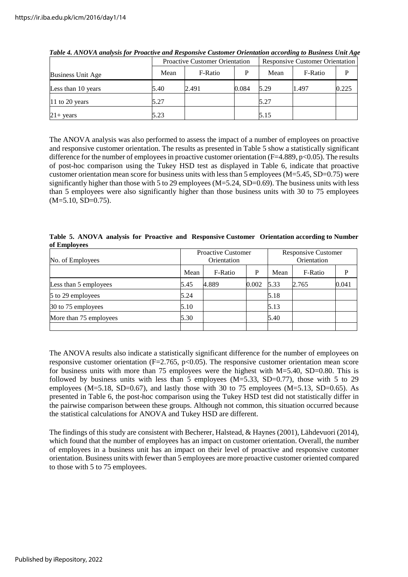|                    | <b>Proactive Customer Orientation</b> |         |       | <b>Responsive Customer Orientation</b> |         |       |
|--------------------|---------------------------------------|---------|-------|----------------------------------------|---------|-------|
| Business Unit Age  | Mean                                  | F-Ratio | P     | Mean                                   | F-Ratio |       |
| Less than 10 years | 5.40                                  | 2.491   | 0.084 | 5.29                                   | 1.497   | 0.225 |
| 11 to 20 years     | 5.27                                  |         |       | 5.27                                   |         |       |
| $21 + years$       | 5.23                                  |         |       | 5.15                                   |         |       |

*Table 4. ANOVA analysis for Proactive and Responsive Customer Orientation according to Business Unit Age*

The ANOVA analysis was also performed to assess the impact of a number of employees on proactive and responsive customer orientation. The results as presented in Table 5 show a statistically significant difference for the number of employees in proactive customer orientation ( $F=4.889$ ,  $p<0.05$ ). The results of post-hoc comparison using the Tukey HSD test as displayed in Table 6, indicate that proactive customer orientation mean score for business units with less than 5 employees (M=5.45, SD=0.75) were significantly higher than those with 5 to 29 employees ( $M=5.24$ ,  $SD=0.69$ ). The business units with less than 5 employees were also significantly higher than those business units with 30 to 75 employees  $(M=5.10, SD=0.75)$ .

**Table 5. ANOVA analysis for Proactive and Responsive Customer Orientation according to Number of Employees**

| No. of Employees       | <b>Proactive Customer</b><br>Orientation |         | <b>Responsive Customer</b><br>Orientation |      |         |       |
|------------------------|------------------------------------------|---------|-------------------------------------------|------|---------|-------|
|                        | Mean                                     | F-Ratio | P                                         | Mean | F-Ratio |       |
| Less than 5 employees  | 5.45                                     | 4.889   | 0.002                                     | 5.33 | 2.765   | 0.041 |
| 5 to 29 employees      | 5.24                                     |         |                                           | 5.18 |         |       |
| 30 to 75 employees     | 5.10                                     |         |                                           | 5.13 |         |       |
| More than 75 employees | 5.30                                     |         |                                           | 5.40 |         |       |
|                        |                                          |         |                                           |      |         |       |

The ANOVA results also indicate a statistically significant difference for the number of employees on responsive customer orientation ( $F=2.765$ ,  $p<0.05$ ). The responsive customer orientation mean score for business units with more than 75 employees were the highest with M=5.40, SD=0.80. This is followed by business units with less than 5 employees  $(M=5.33, SD=0.77)$ , those with 5 to 29 employees ( $M=5.18$ ,  $SD=0.67$ ), and lastly those with 30 to 75 employees ( $M=5.13$ ,  $SD=0.65$ ). As presented in Table 6, the post-hoc comparison using the Tukey HSD test did not statistically differ in the pairwise comparison between these groups. Although not common, this situation occurred because the statistical calculations for ANOVA and Tukey HSD are different.

The findings of this study are consistent with Becherer, Halstead, & Haynes (2001), Lähdevuori (2014), which found that the number of employees has an impact on customer orientation. Overall, the number of employees in a business unit has an impact on their level of proactive and responsive customer orientation. Business units with fewer than 5 employees are more proactive customer oriented compared to those with 5 to 75 employees.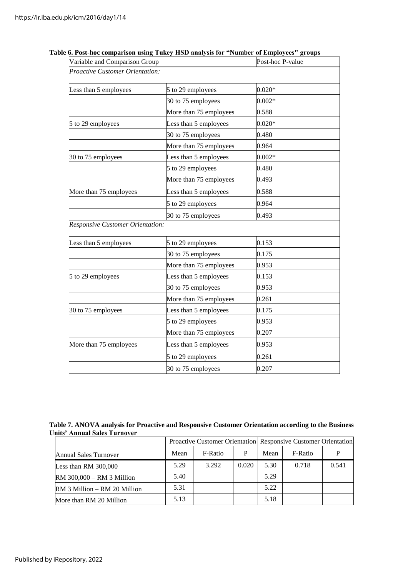| Variable and Comparison Group           |                        | Post-hoc P-value |
|-----------------------------------------|------------------------|------------------|
| Proactive Customer Orientation:         |                        |                  |
| Less than 5 employees                   | 5 to 29 employees      | $0.020*$         |
|                                         | 30 to 75 employees     | $0.002*$         |
|                                         | More than 75 employees | 0.588            |
| 5 to 29 employees                       | Less than 5 employees  | $0.020*$         |
|                                         | 30 to 75 employees     | 0.480            |
|                                         | More than 75 employees | 0.964            |
| 30 to 75 employees                      | Less than 5 employees  | $0.002*$         |
|                                         | 5 to 29 employees      | 0.480            |
|                                         | More than 75 employees | 0.493            |
| More than 75 employees                  | Less than 5 employees  | 0.588            |
|                                         | 5 to 29 employees      | 0.964            |
|                                         | 30 to 75 employees     | 0.493            |
| <b>Responsive Customer Orientation:</b> |                        |                  |
| Less than 5 employees                   | 5 to 29 employees      | 0.153            |
|                                         | 30 to 75 employees     | 0.175            |
|                                         | More than 75 employees | 0.953            |
| 5 to 29 employees                       | Less than 5 employees  | 0.153            |
|                                         | 30 to 75 employees     | 0.953            |
|                                         | More than 75 employees | 0.261            |
| 30 to 75 employees                      | Less than 5 employees  | 0.175            |
|                                         | 5 to 29 employees      | 0.953            |
|                                         | More than 75 employees | 0.207            |
| More than 75 employees                  | Less than 5 employees  | 0.953            |
|                                         | 5 to 29 employees      | 0.261            |
|                                         | 30 to 75 employees     | 0.207            |

# **Table 6. Post-hoc comparison using Tukey HSD analysis for "Number of Employees" groups**

| Table 7. ANOVA analysis for Proactive and Responsive Customer Orientation according to the Business |  |
|-----------------------------------------------------------------------------------------------------|--|
| Units' Annual Sales Turnover                                                                        |  |

|                              |      | Proactive Customer Orientation Responsive Customer Orientation |       |      |         |       |
|------------------------------|------|----------------------------------------------------------------|-------|------|---------|-------|
| Annual Sales Turnover        | Mean | F-Ratio                                                        | P     | Mean | F-Ratio |       |
| Less than RM $300,000$       | 5.29 | 3.292                                                          | 0.020 | 5.30 | 0.718   | 0.541 |
| RM 300,000 - RM 3 Million    | 5.40 |                                                                |       | 5.29 |         |       |
| RM 3 Million – RM 20 Million | 5.31 |                                                                |       | 5.22 |         |       |
| More than RM 20 Million      | 5.13 |                                                                |       | 5.18 |         |       |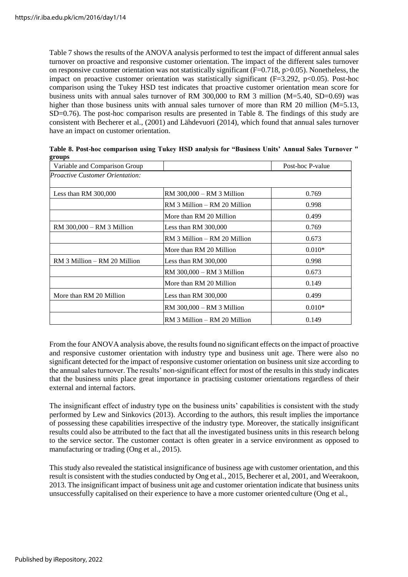Table 7 shows the results of the ANOVA analysis performed to test the impact of different annual sales turnover on proactive and responsive customer orientation. The impact of the different sales turnover on responsive customer orientation was not statistically significant (F=0.718, p>0.05). Nonetheless, the impact on proactive customer orientation was statistically significant ( $F=3.292$ ,  $p<0.05$ ). Post-hoc comparison using the Tukey HSD test indicates that proactive customer orientation mean score for business units with annual sales turnover of RM 300,000 to RM 3 million  $(M=5.40, SD=0.69)$  was higher than those business units with annual sales turnover of more than RM 20 million (M=5.13, SD=0.76). The post-hoc comparison results are presented in Table 8. The findings of this study are consistent with Becherer et al., (2001) and Lähdevuori (2014), which found that annual sales turnover have an impact on customer orientation.

| Table 8. Post-hoc comparison using Tukey HSD analysis for "Business Units' Annual Sales Turnover " |  |
|----------------------------------------------------------------------------------------------------|--|
| groups                                                                                             |  |

| Variable and Comparison Group          |                              | Post-hoc P-value |
|----------------------------------------|------------------------------|------------------|
| <b>Proactive Customer Orientation:</b> |                              |                  |
| Less than RM $300,000$                 | RM 300,000 - RM 3 Million    | 0.769            |
|                                        | RM 3 Million – RM 20 Million | 0.998            |
|                                        | More than RM 20 Million      | 0.499            |
| RM 300,000 – RM 3 Million              | Less than RM $300,000$       | 0.769            |
|                                        | RM 3 Million – RM 20 Million | 0.673            |
|                                        | More than RM 20 Million      | $0.010*$         |
| RM 3 Million – RM 20 Million           | Less than RM $300,000$       | 0.998            |
|                                        | RM 300,000 – RM 3 Million    | 0.673            |
|                                        | More than RM 20 Million      | 0.149            |
| More than RM 20 Million                | Less than RM $300,000$       | 0.499            |
|                                        | RM 300,000 – RM 3 Million    | $0.010*$         |
|                                        | RM 3 Million – RM 20 Million | 0.149            |

From the four ANOVA analysis above, the results found no significant effects on the impact of proactive and responsive customer orientation with industry type and business unit age. There were also no significant detected for the impact of responsive customer orientation on business unit size according to the annual sales turnover. The results' non-significant effect for most of the results in this study indicates that the business units place great importance in practising customer orientations regardless of their external and internal factors.

The insignificant effect of industry type on the business units' capabilities is consistent with the study performed by Lew and Sinkovics (2013). According to the authors, this result implies the importance of possessing these capabilities irrespective of the industry type. Moreover, the statically insignificant results could also be attributed to the fact that all the investigated business units in this research belong to the service sector. The customer contact is often greater in a service environment as opposed to manufacturing or trading (Ong et al., 2015).

This study also revealed the statistical insignificance of business age with customer orientation, and this result is consistent with the studies conducted by Ong et al., 2015, Becherer et al, 2001, and Weerakoon, 2013. The insignificant impact of business unit age and customer orientation indicate that business units unsuccessfully capitalised on their experience to have a more customer oriented culture (Ong et al.,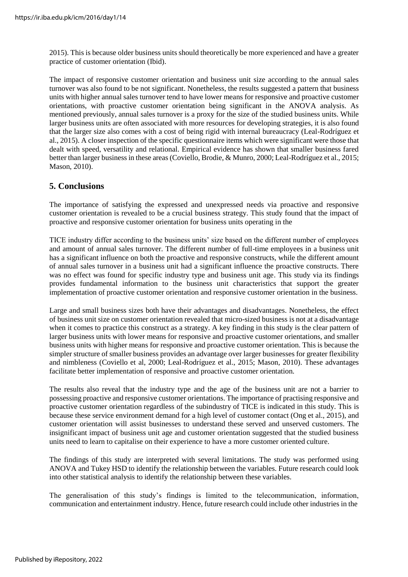2015). This is because older business units should theoretically be more experienced and have a greater practice of customer orientation (Ibid).

The impact of responsive customer orientation and business unit size according to the annual sales turnover was also found to be not significant. Nonetheless, the results suggested a pattern that business units with higher annual sales turnover tend to have lower means for responsive and proactive customer orientations, with proactive customer orientation being significant in the ANOVA analysis. As mentioned previously, annual sales turnover is a proxy for the size of the studied business units. While larger business units are often associated with more resources for developing strategies, it is also found that the larger size also comes with a cost of being rigid with internal bureaucracy (Leal-Rodríguez et al., 2015). A closer inspection of the specific questionnaire items which were significant were those that dealt with speed, versatility and relational. Empirical evidence has shown that smaller business fared better than larger business in these areas (Coviello, Brodie, & Munro, 2000; Leal-Rodríguez et al., 2015; Mason, 2010).

# **5. Conclusions**

The importance of satisfying the expressed and unexpressed needs via proactive and responsive customer orientation is revealed to be a crucial business strategy. This study found that the impact of proactive and responsive customer orientation for business units operating in the

TICE industry differ according to the business units' size based on the different number of employees and amount of annual sales turnover. The different number of full-time employees in a business unit has a significant influence on both the proactive and responsive constructs, while the different amount of annual sales turnover in a business unit had a significant influence the proactive constructs. There was no effect was found for specific industry type and business unit age. This study via its findings provides fundamental information to the business unit characteristics that support the greater implementation of proactive customer orientation and responsive customer orientation in the business.

Large and small business sizes both have their advantages and disadvantages. Nonetheless, the effect of business unit size on customer orientation revealed that micro-sized business is not at a disadvantage when it comes to practice this construct as a strategy. A key finding in this study is the clear pattern of larger business units with lower means for responsive and proactive customer orientations, and smaller business units with higher means for responsive and proactive customer orientation. This is because the simpler structure of smaller business provides an advantage over larger businesses for greater flexibility and nimbleness (Coviello et al, 2000; Leal-Rodríguez et al., 2015; Mason, 2010). These advantages facilitate better implementation of responsive and proactive customer orientation.

The results also reveal that the industry type and the age of the business unit are not a barrier to possessing proactive and responsive customer orientations. The importance of practising responsive and proactive customer orientation regardless of the subindustry of TICE is indicated in this study. This is because these service environment demand for a high level of customer contact (Ong et al., 2015), and customer orientation will assist businesses to understand these served and unserved customers. The insignificant impact of business unit age and customer orientation suggested that the studied business units need to learn to capitalise on their experience to have a more customer oriented culture.

The findings of this study are interpreted with several limitations. The study was performed using ANOVA and Tukey HSD to identify the relationship between the variables. Future research could look into other statistical analysis to identify the relationship between these variables.

The generalisation of this study's findings is limited to the telecommunication, information, communication and entertainment industry. Hence, future research could include other industries in the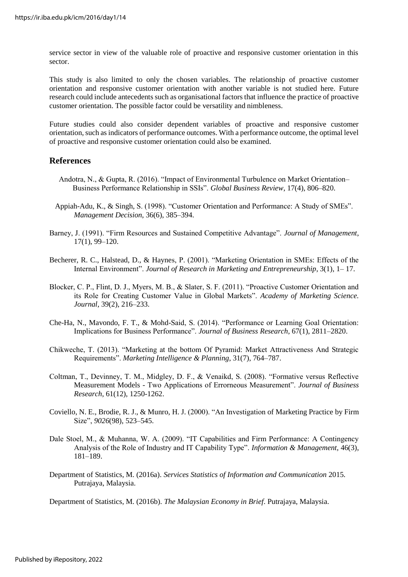service sector in view of the valuable role of proactive and responsive customer orientation in this sector.

This study is also limited to only the chosen variables. The relationship of proactive customer orientation and responsive customer orientation with another variable is not studied here. Future research could include antecedents such as organisational factors that influence the practice of proactive customer orientation. The possible factor could be versatility and nimbleness.

Future studies could also consider dependent variables of proactive and responsive customer orientation, such as indicators of performance outcomes. With a performance outcome, the optimal level of proactive and responsive customer orientation could also be examined.

#### **References**

- Andotra, N., & Gupta, R. (2016). "Impact of Environmental Turbulence on Market Orientation– Business Performance Relationship in SSIs". *Global Business Review*, 17(4), 806–820.
- Appiah-Adu, K., & Singh, S. (1998). "Customer Orientation and Performance: A Study of SMEs". *Management Decision*, 36(6), 385–394.
- Barney, J. (1991). "Firm Resources and Sustained Competitive Advantage". *Journal of Management*, 17(1), 99–120.
- Becherer, R. C., Halstead, D., & Haynes, P. (2001). "Marketing Orientation in SMEs: Effects of the Internal Environment". *Journal of Research in Marketing and Entrepreneurship*, 3(1), 1– 17.
- Blocker, C. P., Flint, D. J., Myers, M. B., & Slater, S. F. (2011). "Proactive Customer Orientation and its Role for Creating Customer Value in Global Markets". *Academy of Marketing Science. Journal*, 39(2), 216–233.
- Che-Ha, N., Mavondo, F. T., & Mohd-Said, S. (2014). "Performance or Learning Goal Orientation: Implications for Business Performance". *Journal of Business Research*, 67(1), 2811–2820.
- Chikweche, T. (2013). "Marketing at the bottom Of Pyramid: Market Attractiveness And Strategic Requirements". *Marketing Intelligence & Planning*, 31(7), 764–787.
- Coltman, T., Devinney, T. M., Midgley, D. F., & Venaikd, S. (2008). "Formative versus Reflective Measurement Models - Two Applications of Errorneous Measurement". *Journal of Business Research*, 61(12), 1250-1262.
- Coviello, N. E., Brodie, R. J., & Munro, H. J. (2000). "An Investigation of Marketing Practice by Firm Size", *9026*(98), 523–545.
- Dale Stoel, M., & Muhanna, W. A. (2009). "IT Capabilities and Firm Performance: A Contingency Analysis of the Role of Industry and IT Capability Type". *Information & Management*, 46(3), 181–189.
- Department of Statistics, M. (2016a). *Services Statistics of Information and Communication* 2015. Putrajaya, Malaysia.

Department of Statistics, M. (2016b). *The Malaysian Economy in Brief*. Putrajaya, Malaysia.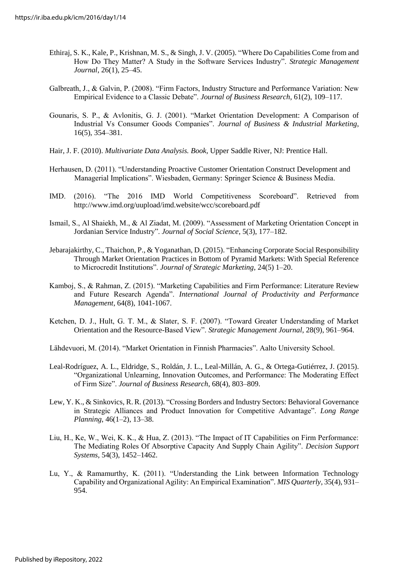- Ethiraj, S. K., Kale, P., Krishnan, M. S., & Singh, J. V. (2005). "Where Do Capabilities Come from and How Do They Matter? A Study in the Software Services Industry". *Strategic Management Journal*, 26(1), 25–45.
- Galbreath, J., & Galvin, P. (2008). "Firm Factors, Industry Structure and Performance Variation: New Empirical Evidence to a Classic Debate". *Journal of Business Research*, 61(2), 109–117.
- Gounaris, S. P., & Avlonitis, G. J. (2001). "Market Orientation Development: A Comparison of Industrial Vs Consumer Goods Companies". *Journal of Business & Industrial Marketing*, 16(5), 354–381.
- Hair, J. F. (2010). *Multivariate Data Analysis. Book*, Upper Saddle River, NJ: Prentice Hall.
- Herhausen, D. (2011). "Understanding Proactive Customer Orientation Construct Development and Managerial Implications". Wiesbaden, Germany: Springer Science & Business Media.
- IMD. (2016). "The 2016 IMD World Competitiveness Scoreboard". Retrieved from <http://www.imd.org/uupload/imd.website/wcc/scoreboard.pdf>
- Ismail, S., Al Shaiekh, M., & Al Ziadat, M. (2009). "Assessment of Marketing Orientation Concept in Jordanian Service Industry". *Journal of Social Science*, 5(3), 177–182.
- Jebarajakirthy, C., Thaichon, P., & Yoganathan, D. (2015). "Enhancing Corporate Social Responsibility Through Market Orientation Practices in Bottom of Pyramid Markets: With Special Reference to Microcredit Institutions". *Journal of Strategic Marketing*, 24(5) 1–20.
- Kamboj, S., & Rahman, Z. (2015). "Marketing Capabilities and Firm Performance: Literature Review and Future Research Agenda". *International Journal of Productivity and Performance Management*, 64(8), 1041-1067.
- Ketchen, D. J., Hult, G. T. M., & Slater, S. F. (2007). "Toward Greater Understanding of Market Orientation and the Resource-Based View". *Strategic Management Journal*, 28(9), 961–964.
- Lähdevuori, M. (2014). "Market Orientation in Finnish Pharmacies". Aalto University School.
- Leal-Rodríguez, A. L., Eldridge, S., Roldán, J. L., Leal-Millán, A. G., & Ortega-Gutiérrez, J. (2015). "Organizational Unlearning, Innovation Outcomes, and Performance: The Moderating Effect of Firm Size". *Journal of Business Research*, 68(4), 803–809.
- Lew, Y. K., & Sinkovics, R. R. (2013). "Crossing Borders and Industry Sectors: Behavioral Governance in Strategic Alliances and Product Innovation for Competitive Advantage". *Long Range Planning*, 46(1–2), 13–38.
- Liu, H., Ke, W., Wei, K. K., & Hua, Z. (2013). "The Impact of IT Capabilities on Firm Performance: The Mediating Roles Of Absorptive Capacity And Supply Chain Agility". *Decision Support Systems*, 54(3), 1452–1462.
- Lu, Y., & Ramamurthy, K. (2011). "Understanding the Link between Information Technology Capability and Organizational Agility: An Empirical Examination"*. MIS Quarterly*, 35(4), 931– 954.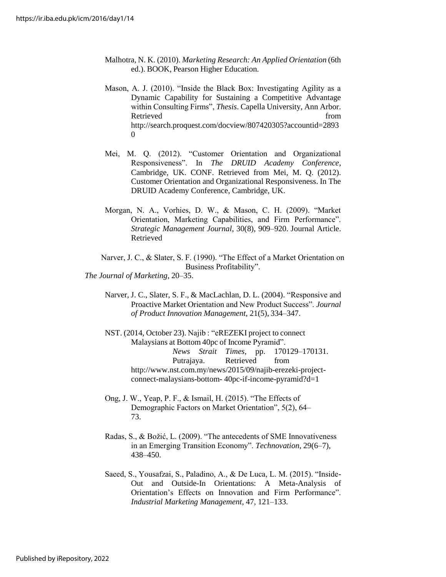- Malhotra, N. K. (2010). *Marketing Research: An Applied Orientation* (6th ed.). BOOK, Pearson Higher Education.
- Mason, A. J. (2010). "Inside the Black Box: Investigating Agility as a Dynamic Capability for Sustaining a Competitive Advantage within Consulting Firms", *Thesis*. Capella University, Ann Arbor. Retrieved from the state of  $\sim$ [http://search.proquest.com/docview/807420305?accountid=2893](http://search.proquest.com/docview/807420305?accountid=28930)  $\Omega$
- Mei, M. Q. (2012). "Customer Orientation and Organizational Responsiveness". In *The DRUID Academy Conference*, Cambridge, UK. CONF. Retrieved from Mei, M. Q. (2012). Customer Orientation and Organizational Responsiveness. In The DRUID Academy Conference, Cambridge, UK.
- Morgan, N. A., Vorhies, D. W., & Mason, C. H. (2009). "Market Orientation, Marketing Capabilities, and Firm Performance". *Strategic Management Journal*, 30(8), 909–920. Journal Article. Retrieved

Narver, J. C., & Slater, S. F. (1990). "The Effect of a Market Orientation on Business Profitability".

*The Journal of Marketing*, 20–35.

Narver, J. C., Slater, S. F., & MacLachlan, D. L. (2004). "Responsive and Proactive Market Orientation and New Product Success". *Journal of Product Innovation Management*, 21(5), 334–347.

NST. (2014, October 23). Najib : "eREZEKI project to connect Malaysians at Bottom 40pc of Income Pyramid". *News Strait Times*, pp. 170129–170131. Putrajaya. Retrieved from [http://www.nst.com.my/news/2015/09/najib-erezeki-project](http://www.nst.com.my/news/2015/09/najib-erezeki-project-connect-malaysians-bottom-)[connect-malaysians-bottom-](http://www.nst.com.my/news/2015/09/najib-erezeki-project-connect-malaysians-bottom-) 40pc-if-income-pyramid?d=1

- Ong, J. W., Yeap, P. F., & Ismail, H. (2015). "The Effects of Demographic Factors on Market Orientation", 5(2), 64– 73.
- Radas, S., & Božić, L. (2009). "The antecedents of SME Innovativeness in an Emerging Transition Economy". *Technovation*, 29(6–7), 438–450.
- Saeed, S., Yousafzai, S., Paladino, A., & De Luca, L. M. (2015). "Inside-Out and Outside-In Orientations: A Meta-Analysis of Orientation's Effects on Innovation and Firm Performance". *Industrial Marketing Management*, 47, 121–133.